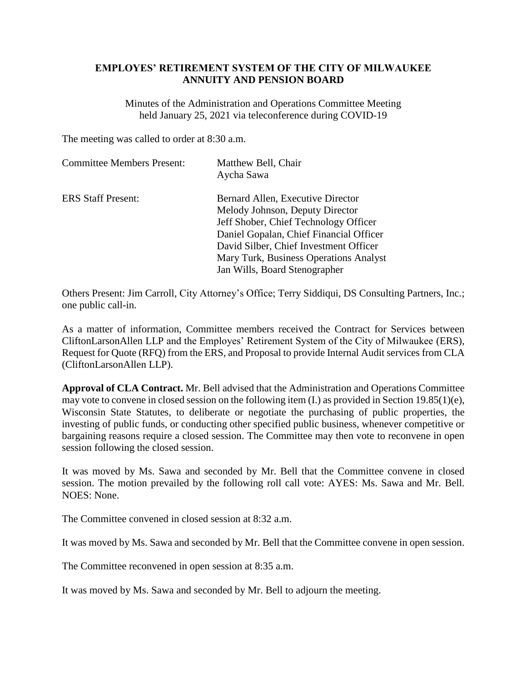## **EMPLOYES' RETIREMENT SYSTEM OF THE CITY OF MILWAUKEE ANNUITY AND PENSION BOARD**

Minutes of the Administration and Operations Committee Meeting held January 25, 2021 via teleconference during COVID-19

The meeting was called to order at 8:30 a.m.

| <b>Committee Members Present:</b> | Matthew Bell, Chair<br>Aycha Sawa       |
|-----------------------------------|-----------------------------------------|
| <b>ERS Staff Present:</b>         | Bernard Allen, Executive Director       |
|                                   | Melody Johnson, Deputy Director         |
|                                   | Jeff Shober, Chief Technology Officer   |
|                                   | Daniel Gopalan, Chief Financial Officer |
|                                   | David Silber, Chief Investment Officer  |
|                                   | Mary Turk, Business Operations Analyst  |
|                                   | Jan Wills, Board Stenographer           |

Others Present: Jim Carroll, City Attorney's Office; Terry Siddiqui, DS Consulting Partners, Inc.; one public call-in.

As a matter of information, Committee members received the Contract for Services between CliftonLarsonAllen LLP and the Employes' Retirement System of the City of Milwaukee (ERS), Request for Quote (RFQ) from the ERS, and Proposal to provide Internal Audit services from CLA (CliftonLarsonAllen LLP).

**Approval of CLA Contract.** Mr. Bell advised that the Administration and Operations Committee may vote to convene in closed session on the following item (I.) as provided in Section 19.85(1)(e), Wisconsin State Statutes, to deliberate or negotiate the purchasing of public properties, the investing of public funds, or conducting other specified public business, whenever competitive or bargaining reasons require a closed session. The Committee may then vote to reconvene in open session following the closed session.

It was moved by Ms. Sawa and seconded by Mr. Bell that the Committee convene in closed session. The motion prevailed by the following roll call vote: AYES: Ms. Sawa and Mr. Bell. NOES: None.

The Committee convened in closed session at 8:32 a.m.

It was moved by Ms. Sawa and seconded by Mr. Bell that the Committee convene in open session.

The Committee reconvened in open session at 8:35 a.m.

It was moved by Ms. Sawa and seconded by Mr. Bell to adjourn the meeting.